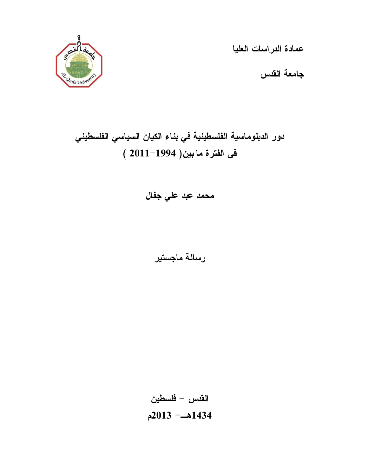

عمادة الدراسات العليا

جامعة القدس

# دور الدبلوماسية الفلسطينية في بناء الكيان السياسي الفلسطيني في الفترة ما بين( 2011-1994 )

محمد عبد علي جفال

رسالة ماجستير

القدس - فلسطين 1434هـ - 2013 م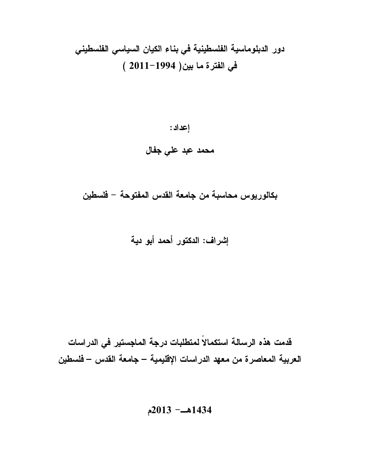# دور الدبلوماسية الفلسطينية في بناء الكيان السياسي الفلسطيني في الفترة ما بين( 2011-1994 )

إعداد : محمد عبد علي جفال

بكالوريوس محاسبة من جامعة القدس المفتوحة - فلسطين

# إشراف : الدكتور أحمد أبو دية

قدمت هذه الرسالة استكمالاً لمتطلبات درجة الماجستير في الدراسات العربية المعاصرة من معهد الدراسات الإقليمية – جامعة القدس – فلسطين

# 1434هـ - 2013 م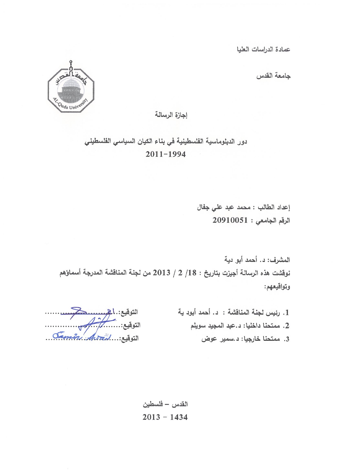عمادة الدراسات العليا

جامعة القدس



إجازة الرسالة

دور الدبلوماسية الفلسطينية في بناء الكيان السياسي الفلسطيني  $2011 - 1994$ 

> إعداد الطالب : محمد عبد علي جفال الرقم الجامعي : 20910051

المشرف: د. أحمد أبو دية نوفَشت هذه الرسالـة أجيزت بتاريخ : 18/ 2 / 2013 من لجنـة المنافَشـة المدرجـة أسماؤهم وتواقيعهم:

> 1. رئيس لجنة المناقشة : د. أحمد أبود ية 2. ممتحنا داخليا: د.عبد المجيد سويلم 3. ممتحنا خارجيا: د.سمير عوض

Villa Artal ... : 2011

القدس – فلسطين  $2013 - 1434$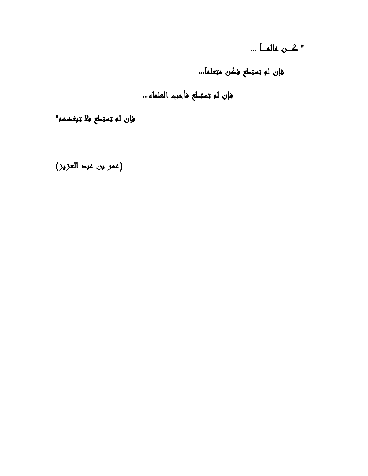" كـن عالمـاً ...

فإن لم تستطع فكن متعلماً، ،،

فإن لم تستطع فأحب العلماء،،،

فإن لم تستطع فلا تبغضهم"

(عمر بن عبد العزيز)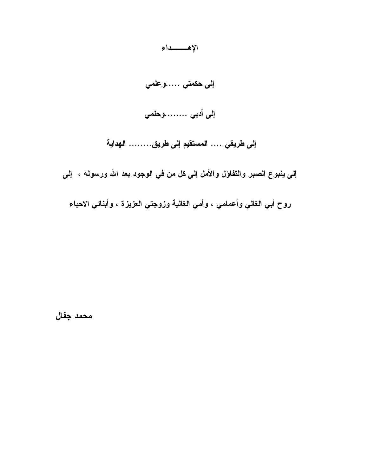

محمد جفال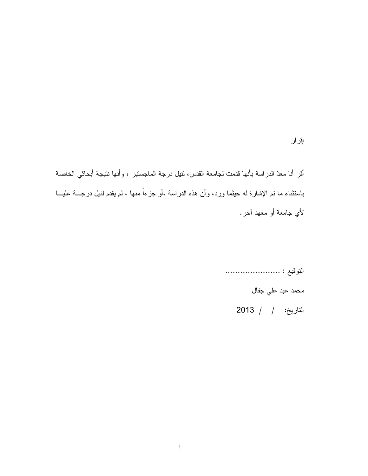أقر أنا معد الدراسة بأنها قدمت لجامعة القدس، لنيل درجة الماجستير ، وأنها نتيجة أبحاثي الخاصة باستثناء ما تم الإشارة له حيثما ورد، وأن هذه الدراسة ،أو جزء اً منها ، لم يقدم لنيل درجـة عليـا لأي جامعة أو معهد آخر .

> التوقيع : ...................... محمد عبد علي جفال التاريخ: / / 2013

إقرار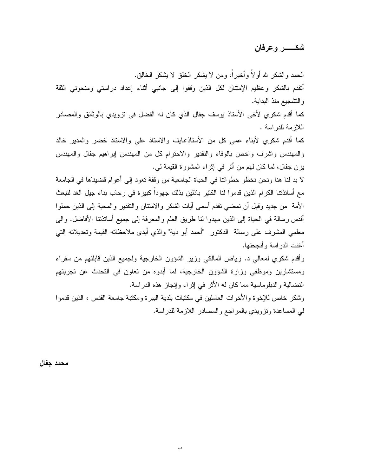## شكــر وعرفان

الحمد والشكر الله أولاً وأخيراً، ومن لا يشكر الخلق لا يشكر الخالق .

أتقدم بالشكر وعظيم الإمتنان لكل الذين وقفوا إلى جانبي أثناء إعداد دراستي ومنحوني الثقة والتشجيع منذ البداية .

كما أقدم شكري لأخي الأستاذ يوسف جفال الذي كان له الفضل في تزويدي بالوثائق والمصادر اللازمة للدراسة .

كما أقدم شكري لأبناء عمي كل من الأستاذ:نايف والاستاذ علي والاستاذ خضر والمدير خالد والمهندس واشرف واخص بالوفاء والتقدير والاحترام كل من المهندس إبراهيم جفال والمهندس يزن جفال، لما كان لهم من أثر في إثراء المشورة القيمة لي .

لا بد لنا هنا ونحن نخطو خطواتنا في الحياة الجامعية من وقفة تعود إلى أعوام قضيناها في الجامعة مع أساتذتنا الكرام الذين قدموا لنا الكثير باذلين بذلك جهوداً كبيرة في رحاب بناء جيل الغد لتبعث الأمة من جديد وقبل أن نمضي نقدم أسمى آيات الشكر والامتنان والتقدير والمحبة إلى الذين حملوا أقدس رسالة في الحياة إلى الذين مهدوا لنا طريق العلم والمعرفة إلى جميع أساتذتنا الأفاضل. والى معلمي المشرف على رسالة الدكتور "أحمد أبو دية " والذي أبدى ملاحظاته القيمة وتعديلاته التي أغنت الدراسة وأنجحتها .

وأقدم شكري لمعالي د. رياض المالكي وزير الشؤون الخارجية ولجميع الذين قابلتهم من سفراء ومستشارين وموظفي وزارة الشؤون الخارجية، لما أبدوه من تعاون في التحدث عن تجربتهم النضالية والدبلوماسية مما كان له الأثر في إثراء وإنجاز هذه الدراسة .

وشكر خاص للإخوة والأخوات العاملين في مكتبات بلدية البيرة ومكتبة جامعة القدس ، الذين قدموا لي المساعدة وتزويدي بالمراجع والمصادر اللازمة للدراسة .

محمد جفال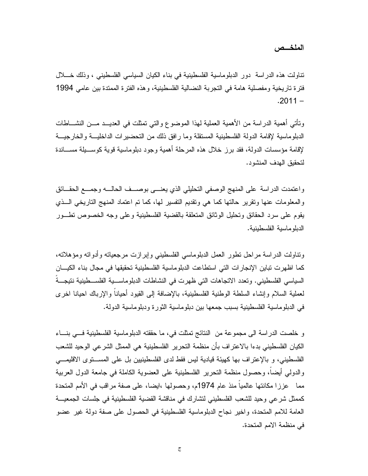#### الملخـص

تناولت هذه الدراسة دور الدبلوماسية الفلسطينية في بناء الكيان السياسي الفلسطيني ، وذلك خـلال فترة تاريخية ومفصلية هامة في التجربة النضالية الفلسطينية، وهذه الفترة الممتدة بين عامي 1994  $.2011 -$ 

وتأتي أهمية الدراسة من الأهمية العملية لهذا الموضوع والتي تمثلت في العديـد مـن النشـاطات الدبلوماسية لإقامة الدولة الفلسطينية المستقلة وما رافق ذلك من التحضيرات الداخليـة والخارجيـة لإقامة مؤسسات الدولة، فقد برز خلال هذه المرحلة أهمية وجود دبلوماسية قوية كوسـيلة مسـاندة لتحقيق الهدف المنشود .

واعتمدت الدراسة على المنهج الوصفي التحليلي الذي يعنـى بوصـف الحالـه وجمـع الحقـائق والمعلومات عنها وتقرير حالتها كما هي وتقديم التفسير لها، كما تم اعتماد المنهج التاريخي الـذي يقوم على سرد الحقائق وتحليل الوثائق المتعلقة بالقضية الفلسطينية وعلى وجه الخصوص تطـور الدبلوماسية الفلسطينية .

وتناولت الدراسة مراحل تطور العمل الدبلوماسي الفلسطيني وإبرازت مرجعياته وأدواته ومؤهلاته، كما اظهرت تباين الإنجارات التي استطاعت الدبلوماسية الفلسطينية تحقيقها في مجال بناء الكيـان السياسي الفلسطيني. وتعدد الاتجاهات التي ظهرت في النشاطات الدبلوماسـية الفلسـطينية نتيجـةً لعملية السلام وإنشاء السلطة الوطنية الفلسطينية، بالإضافة إلى القيود أحياناً والإرباك احيانا اخرى في الدبلوماسية الفلسطينية بسبب جمعها بين دبلوماسية الثورة ودبلوماسية الدولة .

و خلصت الدراسة الى مجموعة من النتائج تمثلت في، ما حققته الدبلوماسية الفلسطينية فـي بنـاء الكيان الفلسطيني بدءا بالاعتراف بأن منظمة التحرير الفلسطينية هي الممثل الشرعي الوحيد للشعب الفلسطيني، و بالإعتراف بها كهيئة قيادية ليس فقط لدى الفلسطينيين بل على المسـتوى الاقليمـي والدولي أيضاً، وحصول منظمة التحرير الفلسطينية على العضوية الكاملة في جامعة الدول العربية مما عززا مكانتها عالمياً منذ عام 1974م، وحصولها ،ايضا، على صفة مراقب في الأمم المتحدة كممثل شرعي وحيد للشعب الفلسطيني لتشارك في مناقشة القضية الفلسطينية في جلسات الجمعيـة العامة للامم المتحدة، واخير نجاح الدبلوماسية الفلسطينية في الحصول على صفة دولة غير عضو في منظمة الامم المتحدة .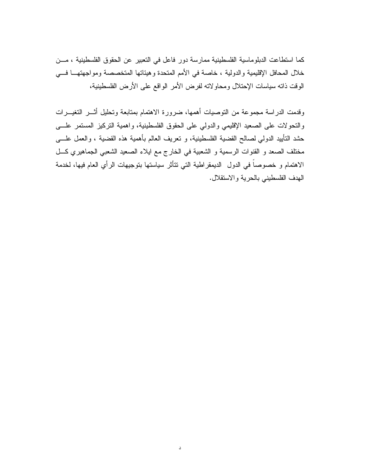كما استطاعت الدبلوماسية الفلسطينية ممارسة دور فاعل في التعبير عن الحقوق الفلسطينية ، مـن خلال المحافل الإقليمية والدولية ، خاصة في الأمم المتحدة وهيئاتها المتخصصة ومواجهتهـا فـي الوقت ذاته سياسات الإحتلال ومحاولاته لفرض الأمر الواقع على الأرض الفلسطينية،

وقدمت الدراسة مجموعة من التوصيات أهمها، ضرورة الاهتمام بمتابعة وتحليل أثـر التغيـرات والتحولات على الصعيد الإقليمي والدولي على الحقوق الفلسطينية، واهمية التركيز المستمر علـى حشد التأييد الدولي لصالح القضية الفلسطينية، و تعريف العالم بأهمية هذه القضية ، والعمل علـــي مختلف الصعد و القنوات الرسمية و الشعبية في الخارج مع ايلاء الصعيد الشعبي الجماهيري كـل الاهتمام و خصوصاً في الدول الديمقراطية التي تتأثر سياستها بتوجيهات الرأي العام فيها، لخدمة الهدف الفلسطيني بالحرية والاستقلال .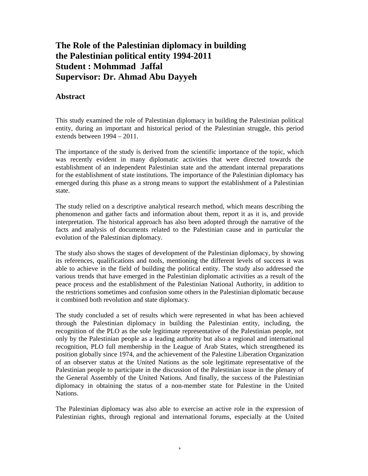# **The Role of the Palestinian diplomacy in building the Palestinian political entity 1994-2011 Student : Mohmmad Jaffal Supervisor: Dr. Ahmad Abu Dayyeh**

### **Abstract**

This study examined the role of Palestinian diplomacy in building the Palestinian political entity, during an important and historical period of the Palestinian struggle, this period extends between 1994 – 2011.

The importance of the study is derived from the scientific importance of the topic, which was recently evident in many diplomatic activities that were directed towards the establishment of an independent Palestinian state and the attendant internal preparations for the establishment of state institutions. The importance of the Palestinian diplomacy has emerged during this phase as a strong means to support the establishment of a Palestinian state.

The study relied on a descriptive analytical research method, which means describing the phenomenon and gather facts and information about them, report it as it is, and provide interpretation. The historical approach has also been adopted through the narrative of the facts and analysis of documents related to the Palestinian cause and in particular the evolution of the Palestinian diplomacy.

The study also shows the stages of development of the Palestinian diplomacy, by showing its references, qualifications and tools, mentioning the different levels of success it was able to achieve in the field of building the political entity. The study also addressed the various trends that have emerged in the Palestinian diplomatic activities as a result of the peace process and the establishment of the Palestinian National Authority, in addition to the restrictions sometimes and confusion some others in the Palestinian diplomatic because it combined both revolution and state diplomacy.

The study concluded a set of results which were represented in what has been achieved through the Palestinian diplomacy in building the Palestinian entity, including, the recognition of the PLO as the sole legitimate representative of the Palestinian people, not only by the Palestinian people as a leading authority but also a regional and international recognition, PLO full membership in the League of Arab States, which strengthened its position globally since 1974, and the achievement of the Palestine Liberation Organization of an observer status at the United Nations as the sole legitimate representative of the Palestinian people to participate in the discussion of the Palestinian issue in the plenary of the General Assembly of the United Nations. And finally, the success of the Palestinian diplomacy in obtaining the status of a non-member state for Palestine in the United Nations.

The Palestinian diplomacy was also able to exercise an active role in the expression of Palestinian rights, through regional and international forums, especially at the United

 $\delta$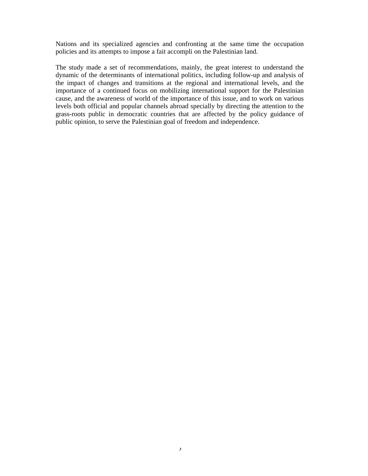Nations and its specialized agencies and confronting at the same time the occupation policies and its attempts to impose a fait accompli on the Palestinian land.

The study made a set of recommendations, mainly, the great interest to understand the dynamic of the determinants of international politics, including follow-up and analysis of the impact of changes and transitions at the regional and international levels, and the importance of a continued focus on mobilizing international support for the Palestinian cause, and the awareness of world of the importance of this issue, and to work on various levels both official and popular channels abroad specially by directing the attention to the grass-roots public in democratic countries that are affected by the policy guidance of public opinion, to serve the Palestinian goal of freedom and independence.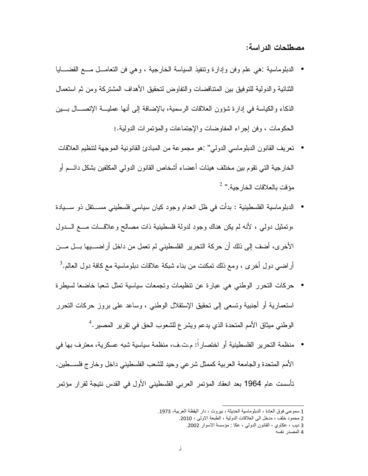مصطلحات الدراسة :

- الدبلوماسية :هي علم وفن وإدارة وتنفيذ السياسة الخارجية ، وهي فن التعامـل مـع القضـايا الثنائية والدولية للتوفيق بين المتناقضات والتفاوض لتحقيق الأهداف المشتركة ومن ثم استعمال الذكاء والكياسة في إدارة شؤون العلاقات الرسمية، بالإضافة إلى أنها عمليـة الإ تصـال بـين الحكومات ، وفن إجراء المفاوضات والإجتماعات والمؤتمرات الدولية. 1
- تعريف القانون الدبلوماسي الدولي" :هو مجموعة من المبادئ القانونية الموجهة لتنظيم العلاقات الخارجية التي تقوم بين مختلف هيئات أعضاء أشخاص القانون الدولي المكلفين بشكل دائـم أو مؤقت بالعلاقات الخارجية." <sup>2</sup>
- الدبلوماسية الفلسطينية : بدأت في ظل انعدام وجود كيان سياسي فلسطيني مســتقل ذو ســيادة ،وتمثيل دولي ، لأنه لم يكن هناك وجود لدولة فلسطينية ذات مصالح وعلاقـات مـع الـدول الأخرى، أضف إلى ذلك أن حركة التحرير الفلسطيني لم تعمل من داخل أراضـيها بـل مـن  $^3$ أراضـي دول أخرى ، ومـع ذلك تمكنت من بناء شبكة علاقات دبلوماسية مـع كافة دول الـعالم.
- حركات التحرر الوطني هي عبارة عن تنظيمات وتجمعات سياسية تمثل شعبا خاضعا لسيطرة استعمارية أو أجنبية وتسعى إلى تحقيق الإستقلال الوطني ، وساعد على بروز حركات التحرر  $^4$ . الوطني ميثاق الأمم المتحدة الذي يدعم ويشر ع للشعوب الحق في تقرير المصير
- منظمة التحرير الفلسطينية أو اختصاراً .م: ت.ف، منظمة سياسية شبه عسكرية، معترف بها في الأمم المتحدة والجامعة العربية كممثل شرعي وحيد للشعب الفلسطيني داخل وخارج فلسـطين . تأسست عام 1964 بعد انعقاد المؤتمر العربي الفلسطيني الأول في القدس نتيجة لقرار مؤتمر

1

<sup>1</sup> سموحي فوق العادة ، الدبلوماسية الحديثة ، بيروت ، دار اليقظة العربية، 1973.

<sup>2</sup> محمود خلف ، مدخل الى العلاقات الدولية ، الطبعة الاولى ، 2010.

<sup>3</sup> ديب ، عكاوي ، القانون الدولي ، عكا : مؤسسة الاسوار 2002.

<sup>4</sup> المصدر نفسه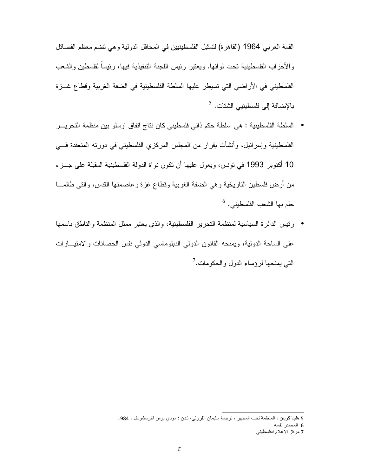القمة العربي 1964 ( القاهرة ) لتمثيل الفلسطينيين في المحافل الدولية وهي تضم معظم الفصائل والأحزاب الفلسطينية تحت لوائها. ويعتبر رئيس اللجنة التنفيذية فيها، رئيساً لفلسطين والشعب الفلسطيني في الأراضي التي تسيطر عليها السلطة الفلسطينية في الضفة الغربية وقطاع غـزة بالإضافة إلى فلسطينيي الشتات. <sup>5</sup>

- السلطة الفلسطينية : هي سلطة حكم ذاتي فلسطيني كان نتاج اتفاق اوسلو بين منظمة التحريـر الفلسطينية وإسرائيل، وأنشأت بقرار من المجلس المركزي الفلسطيني في دورته المنعقدة فـي 10 أكتوبر 1993 في تونس، ويعول عليها أن تكون نواة الدولة الفلسطينية المقبلة على جـزء من أرض فلسطين التاريخية وهي الضفة الغربية وقطاع غزة وعاصمتها القدس، والتي طالمـا حلم بـها الشعب الفلسطينـي. <sup>6</sup>
- رئيس الدائرة السياسية لمنظمة التحرير الفلسطينية، والذي يعتبر ممثل المنظمة والناطق باسمها على الساحة الدولية، ويمنحه القانون الدولي الدبلوماسي الدولي نفس الحصانات والامتيـا زات التي يمنحها لرؤساء الدول والحكومات.<sup>7</sup>

6 المصدر نفسه

<sup>1</sup> 5 هلينا كوبان ، المنظمة تحت المجهر ، ترجمة سليمان الفرزلي، لندن : مودي برس انترناشونال ، 1984

<sup>7</sup> مركز الاعلام الفلسطيني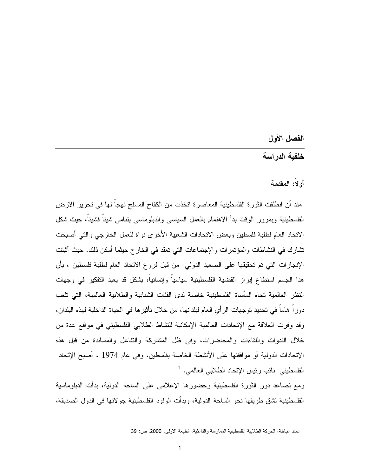الفصل الأول

## خلفية الدراسة

### أولاً: المقدمة

منذ أن انطلقت الثورة الفلسطينية المعاصرة اتخذت من الكفاح المسلح نهجاً لها في تحرير الارض الفلسطينية وبمرور الوقت بدأ الاهتمام بالعمل السياسي والدبلوماسي يتنامى شيئاً فشيئاً، حيث شكل الاتحاد العام لطلبة فلسطين وبعض الاتحادات الشعبية الأخرى نواة للعمل الخارجي والتي أصبحت تشارك في النشاطات والمؤتمرات والإجتماعات التي تعقد في الخارج حيثما أمكن ذلك . حيث أثبتت الإنجازات التي تم تحقيقها على الصعيد الدولي من قبل فروع الاتحاد العام لطلبة فلسطين ، بأن هذا الجسم استطاع إبراز القضية الفلسطينية سياسياً وإنسانياً، بشكل قد يعيد التفكير في وجهات النظر العالمية تجاه المأساة الفلسطينية خاصة لدى الفئات الشبابية والطلابية العالمية، التي تلعب دوراً هاماً في تحديد توجهات الرأي العام لبلدانها، من خلال تأثيرها في الحياة الداخلية لهذه البلدان، وقد وفرت العلاقة مع الإتحادات العالمية الإمكانية للنشاط الطلابي الفلسطيني في مواقع عدة من خلال الندوات واللقاءات والمحاضرات، وفي ظل المشاركة والتفاعل والمساندة من قبل هذه الإتحادات الدولية أو موافقتها على الأنشطة الخاصة بفلسطين، وفي عام 1974 ، أصبح الإتحاد الفلسطيني نائب رئيس الإتحاد الطلابي العالمي. <sup>1</sup>

ومع تصاعد دور الثورة الفلسطينية وحضورها الإعلامي على الساحة الدولية، بدأت الدبلوماسية الفلسطينية تشق طريقها نحو الساحة الدولية، وبدأت الوفود الفلسطينية جولاتها في الدول الصديقة،

1

<sup>1</sup> عماد غياظة، الحركة الطلابية الفلسطينية الممارسة والفاعلية، الطبعة الاولى، 2000 ، ص: 39